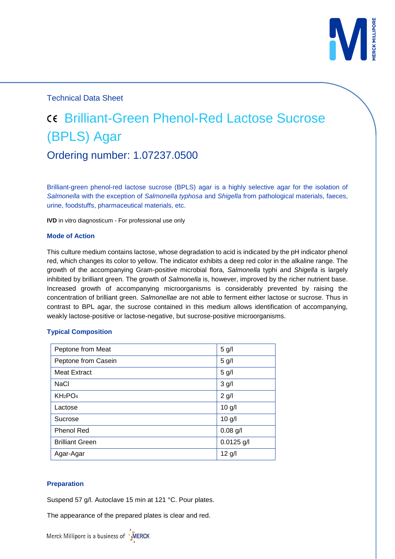

Technical Data Sheet

# Brilliant-Green Phenol-Red Lactose Sucrose (BPLS) Agar Ordering number: 1.07237.0500

Brilliant-green phenol-red lactose sucrose (BPLS) agar is a highly selective agar for the isolation of *Salmonella* with the exception of *Salmonella typhosa* and *Shigella* from pathological materials, faeces, urine, foodstuffs, pharmaceutical materials, etc.

**IVD** in vitro diagnosticum - For professional use only

#### **Mode of Action**

This culture medium contains lactose, whose degradation to acid is indicated by the pH indicator phenol red, which changes its color to yellow. The indicator exhibits a deep red color in the alkaline range. The growth of the accompanying Gram-positive microbial flora, *Salmonella* typhi and *Shigella* is largely inhibited by brilliant green. The growth of *Salmonella* is, however, improved by the richer nutrient base. Increased growth of accompanying microorganisms is considerably prevented by raising the concentration of brilliant green. *Salmonellae* are not able to ferment either lactose or sucrose. Thus in contrast to BPL agar, the sucrose contained in this medium allows identification of accompanying, weakly lactose-positive or lactose-negative, but sucrose-positive microorganisms.

## **Typical Composition**

| Peptone from Meat               | 5 <sub>g</sub> /I |
|---------------------------------|-------------------|
| Peptone from Casein             | 5 g/l             |
| <b>Meat Extract</b>             | 5 g/l             |
| <b>NaCl</b>                     | $3$ g/l           |
| KH <sub>2</sub> PO <sub>4</sub> | $2$ g/l           |
| Lactose                         | $10$ g/l          |
| Sucrose                         | $10$ g/l          |
| <b>Phenol Red</b>               | $0.08$ g/l        |
| <b>Brilliant Green</b>          | $0.0125$ g/l      |
| Agar-Agar                       | $12$ g/l          |

#### **Preparation**

Suspend 57 g/l. Autoclave 15 min at 121 °C. Pour plates.

The appearance of the prepared plates is clear and red.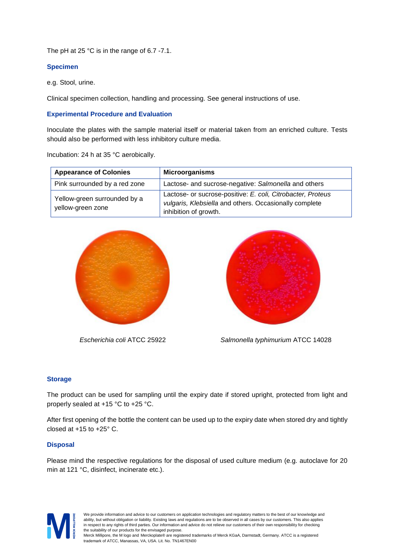The pH at 25 °C is in the range of 6.7 -7.1.

## **Specimen**

e.g. Stool, urine.

Clinical specimen collection, handling and processing. See general instructions of use.

#### **Experimental Procedure and Evaluation**

Inoculate the plates with the sample material itself or material taken from an enriched culture. Tests should also be performed with less inhibitory culture media.

Incubation: 24 h at 35 °C aerobically.

| <b>Appearance of Colonies</b>                     | <b>Microorganisms</b>                                                                                                                          |
|---------------------------------------------------|------------------------------------------------------------------------------------------------------------------------------------------------|
| Pink surrounded by a red zone                     | Lactose- and sucrose-negative: Salmonella and others                                                                                           |
| Yellow-green surrounded by a<br>yellow-green zone | Lactose- or sucrose-positive: E. coli, Citrobacter, Proteus<br>vulgaris, Klebsiella and others. Occasionally complete<br>inhibition of growth. |





 *Escherichia coli* ATCC 25922 *Salmonella typhimurium* ATCC 14028

## **Storage**

The product can be used for sampling until the expiry date if stored upright, protected from light and properly sealed at +15 °C to +25 °C.

After first opening of the bottle the content can be used up to the expiry date when stored dry and tightly closed at  $+15$  to  $+25^{\circ}$  C.

## **Disposal**

Please mind the respective regulations for the disposal of used culture medium (e.g. autoclave for 20 min at 121 °C, disinfect, incinerate etc.).



We provide information and advice to our customers on application technologies and regulatory matters to the best of our knowledge and ability, but without obligation or liability. Existing laws and regulations are to be observed in all cases by our customers. This also applies in respect to any rights of third parties. Our information and advice do not relieve our customers of their own responsibility for checking the suitability of our products for the envisaged purpose. Merck Millipore, the M logo and Merckoplate® are registered trademarks of Merck KGaA, Darmstadt, Germany. ATCC is a registered

trademark of ATCC, Manassas, VA, USA. Lit. No. TN1467EN00